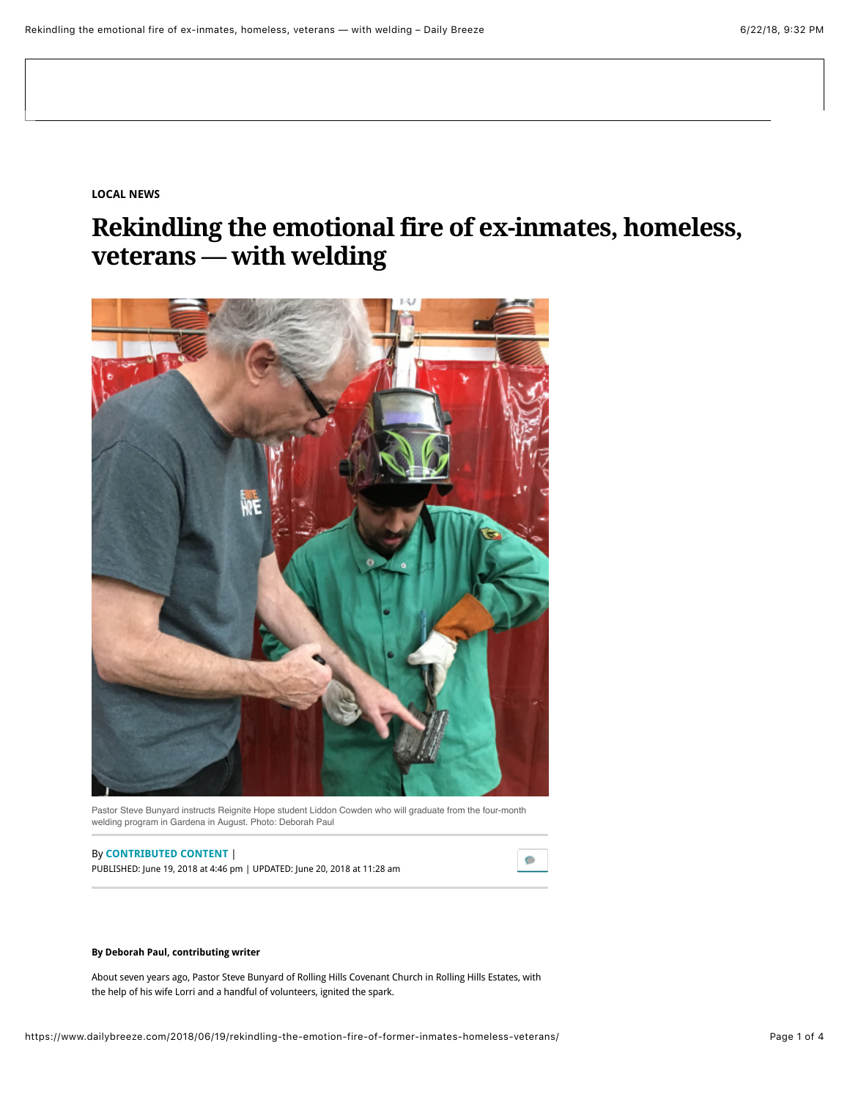**[LOCAL NEWS](https://www.dailybreeze.com/local-news/)**

## **Rekindling the emotional fire of ex-inmates, homeless, veterans — with welding**



Pastor Steve Bunyard instructs Reignite Hope student Liddon Cowden who will graduate from the four-month welding program in Gardena in August. Photo: Deborah Paul

## By **[CONTRIBUTED CONTENT](https://www.dailybreeze.com/author/contributed-content/)**<sup>|</sup>

PUBLISHED: June 19, 2018 at 4:46 pm | UPDATED: June 20, 2018 at 11:28 am



## **By Deborah Paul, contributing writer**

About seven years ago, Pastor Steve Bunyard of Rolling Hills Covenant Church in Rolling Hills Estates, with the help of his wife Lorri and a handful of volunteers, ignited the spark.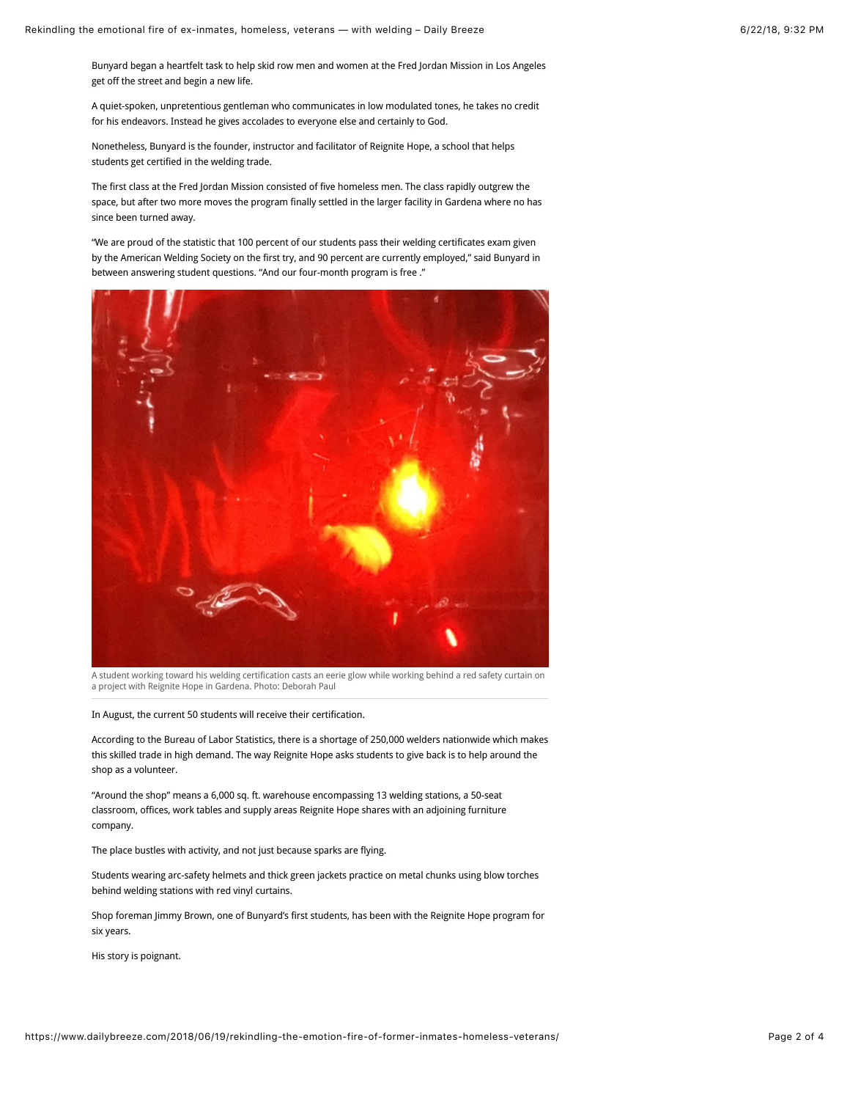Bunyard began a heartfelt task to help skid row men and women at the Fred Jordan Mission in Los Angeles get off the street and begin a new life.

A quiet-spoken, unpretentious gentleman who communicates in low modulated tones, he takes no credit for his endeavors. Instead he gives accolades to everyone else and certainly to God.

Nonetheless, Bunyard is the founder, instructor and facilitator of Reignite Hope, a school that helps students get certified in the welding trade.

The first class at the Fred Jordan Mission consisted of five homeless men. The class rapidly outgrew the space, but after two more moves the program finally settled in the larger facility in Gardena where no has since been turned away.

"We are proud of the statistic that 100 percent of our students pass their welding certificates exam given by the American Welding Society on the first try, and 90 percent are currently employed," said Bunyard in between answering student questions. "And our four-month program is free ."



A student working toward his welding certification casts an eerie glow while working behind a red safety curtain on a project with Reignite Hope in Gardena. Photo: Deborah Paul

In August, the current 50 students will receive their certification.

According to the Bureau of Labor Statistics, there is a shortage of 250,000 welders nationwide which makes this skilled trade in high demand. The way Reignite Hope asks students to give back is to help around the shop as a volunteer.

"Around the shop" means a 6,000 sq. ft. warehouse encompassing 13 welding stations, a 50-seat classroom, offices, work tables and supply areas Reignite Hope shares with an adjoining furniture company.

The place bustles with activity, and not just because sparks are flying.

Students wearing arc-safety helmets and thick green jackets practice on metal chunks using blow torches behind welding stations with red vinyl curtains.

Shop foreman Jimmy Brown, one of Bunyard's first students, has been with the Reignite Hope program for six years.

His story is poignant.